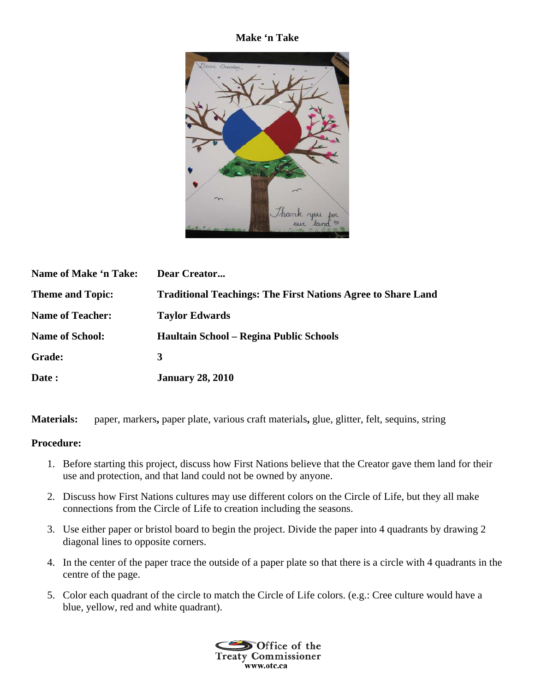## **Make 'n Take**



| <b>Name of Make 'n Take:</b> | Dear Creator                                                        |
|------------------------------|---------------------------------------------------------------------|
| <b>Theme and Topic:</b>      | <b>Traditional Teachings: The First Nations Agree to Share Land</b> |
| <b>Name of Teacher:</b>      | <b>Taylor Edwards</b>                                               |
| <b>Name of School:</b>       | Haultain School - Regina Public Schools                             |
| Grade:                       | 3                                                                   |
| Date:                        | <b>January 28, 2010</b>                                             |

**Materials:** paper, markers**,** paper plate, various craft materials**,** glue, glitter, felt, sequins, string

## **Procedure:**

- 1. Before starting this project, discuss how First Nations believe that the Creator gave them land for their use and protection, and that land could not be owned by anyone.
- 2. Discuss how First Nations cultures may use different colors on the Circle of Life, but they all make connections from the Circle of Life to creation including the seasons.
- 3. Use either paper or bristol board to begin the project. Divide the paper into 4 quadrants by drawing 2 diagonal lines to opposite corners.
- 4. In the center of the paper trace the outside of a paper plate so that there is a circle with 4 quadrants in the centre of the page.
- 5. Color each quadrant of the circle to match the Circle of Life colors. (e.g.: Cree culture would have a blue, yellow, red and white quadrant).